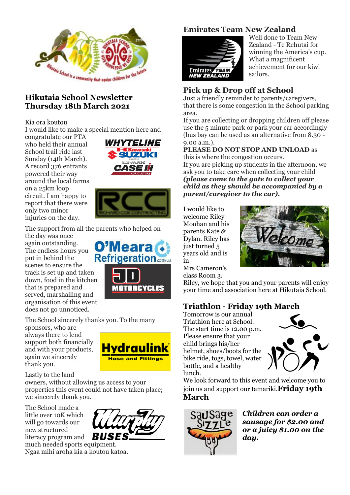

## **Hikutaia School Newsletter Thursday 18th March 2021**

#### Kia ora koutou

I would like to make a special mention here and

congratulate our PTA who held their annual School trail ride last Sunday (14th March). A record 376 entrants powered their way around the local farms on a 25km loop circuit. I am happy to report that there were only two minor injuries on the day.





The support from all the parents who helped on

the day was once again outstanding. O'Meara The endless hours you **Refrigeration** put in behind the scenes to ensure the track is set up and taken down, food in the kitchen that is prepared and served, marshalling and organisation of this event does not go unnoticed.

The School sincerely thanks you. To the many

sponsors, who are always there to lend support both financially and with your products, again we sincerely thank you.



**MOTORCYCLES** 

#### Lastly to the land

owners, without allowing us access to your properties this event could not have taken place; we sincerely thank you.

The School made a little over 10K which will go towards our new structured literacy program and



Ngaa mihi aroha kia a koutou katoa.

# **Emirates Team New Zealand**



Well done to Team New Zealand - Te Rehutai for winning the America's cup. What a magnificent achievement for our kiwi sailors.

# **Pick up & Drop off at School**

Just a friendly reminder to parents/caregivers, that there is some congestion in the School parking area.

If you are collecting or dropping children off please use the 5 minute park or park your car accordingly (bus bay can be used as an alternative from 8.30 - 9.00 a.m.).

#### **PLEASE DO NOT STOP AND UNLOAD** as this is where the congestion occurs.

If you are picking up students in the afternoon, we ask you to take care when collecting your child *(please come to the gate to collect your child as they should be accompanied by a parent/caregiver to the car).*

I would like to welcome Riley Moohan and his parents Kate & Dylan. Riley has just turned 5 years old and is in



Mrs Cameron's class Room 3.

Riley, we hope that you and your parents will enjoy your time and association here at Hikutaia School.

## **Triathlon - Friday 19th March**

Tomorrow is our annual Triathlon here at School. The start time is 12.00 p.m. Please ensure that your child brings his/her helmet, shoes/boots for the bike ride, togs, towel, water bottle, and a healthy lunch.



We look forward to this event and welcome you to join us and support our tamariki.**Friday 19th March**



*Children can order a sausage for \$2.00 and or a juicy \$1.00 on the day.*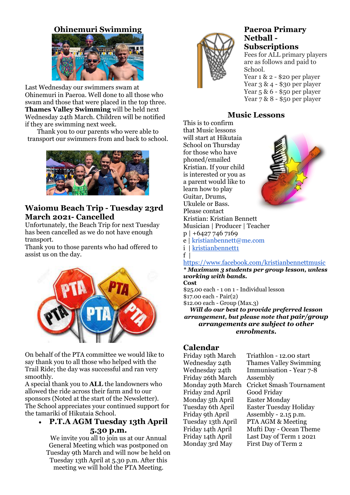## **Ohinemuri Swimming**



Last Wednesday our swimmers swam at Ohinemuri in Paeroa. Well done to all those who swam and those that were placed in the top three. **Thames Valley Swimming** will be held next Wednesday 24th March. Children will be notified if they are swimming next week.

Thank you to our parents who were able to transport our swimmers from and back to school.



## **Waiomu Beach Trip - Tuesday 23rd March 2021- Cancelled**

Unfortunately, the Beach Trip for next Tuesday has been cancelled as we do not have enough transport.

Thank you to those parents who had offered to assist us on the day.



On behalf of the PTA committee we would like to say thank you to all those who helped with the Trail Ride; the day was successful and ran very smoothly.

A special thank you to **ALL** the landowners who allowed the ride across their farm and to our sponsors (Noted at the start of the Newsletter). The School appreciates your continued support for the tamariki of Hikutaia School.

### **P.T.A AGM Tuesday 13th April 5.30 p.m.**

We invite you all to join us at our Annual General Meeting which was postponed on Tuesday 9th March and will now be held on Tuesday 13th April at 5.30 p.m. After this meeting we will hold the PTA Meeting.



#### **Paeroa Primary Netball - Subscriptions**

Fees for ALL primary players are as follows and paid to School.

Year 1 & 2 - \$20 per player Year 3 & 4 - \$30 per player Year 5 & 6 - \$50 per player Year 7 & 8 - \$50 per player

## **Music Lessons**

This is to confirm that Music lessons will start at Hikutaia School on Thursday for those who have phoned/emailed Kristian. If your child is interested or you as a parent would like to learn how to play Guitar, Drums, Ukulele or Bass. Please contact Kristian: Kristian Bennett Musician | Producer | Teacher p | +6427 746 7169 e | kristianbennett@me.com i | [kristianbennett1](https://l.facebook.com/l.php?u=https%3A%2F%2Fwww.instagram.com%2Fkristianbennett1%3Ffbclid%3DIwAR3ieJzUI2AzaGXYJTleWFP90UfmyYnXBQ7EhOo7GYR_bhm7MktX3VDCftQ&h=AT1wnkYm3-2uROTSKgParZxHNH1bSqt4L7Gg95T6BenaEpN7-ETFcLq4ycy0UUDo_BsDmQWBVBhLBOeMFoLbhG_DMGtUZEhQOmfBE0HzIXZIajpF-RbOnNE0Ri9mvTh_0icbCu4oU0hr1zg8kBPQU1c)  $f \mid$ [https://www.facebook.com/kristianbennettmusic](https://www.facebook.com/profile.php?id=774498351)



*\* Maximum 3 students per group lesson, unless working with bands.*

**Cost** \$25.00 each - 1 on 1 - Individual lesson \$17.00 each - Pair(2) \$12.00 each - Group (Max.3)

*Will do our best to provide preferred lesson arrangement, but please note that pair/group arrangements are subject to other enrolments.*

# **Calendar**

Friday 19th March Triathlon - 12.00 start Friday 26th March Assembly<br>Monday 29th March Cricket Sr Friday 2nd April Good Friday Monday 5th April Easter Monday

Wednesday 24th Thames Valley Swimming Wednesday 24th Immunisation - Year 7-8 **Cricket Smash Tournament** Tuesday 6th April Easter Tuesday Holiday Friday 9th April Assembly - 2.15 p.m. Tuesday 13th April PTA AGM & Meeting Friday 14th April Mufti Day - Ocean Theme Friday 14th April Last Day of Term 1 2021 Monday 3rd May First Day of Term 2